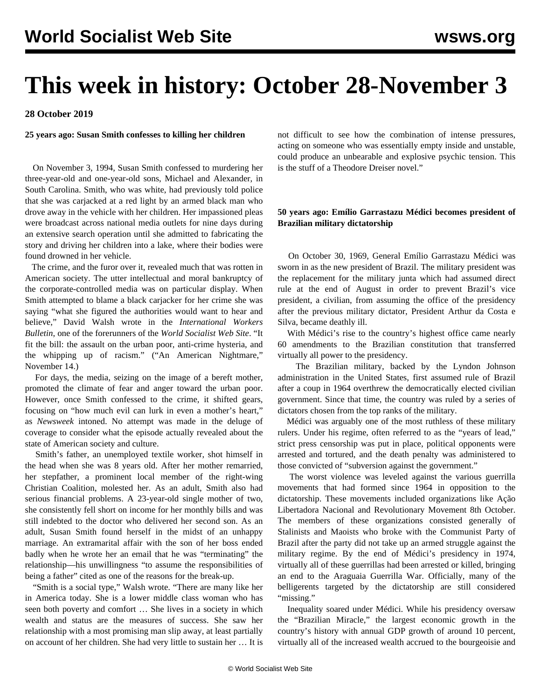# **This week in history: October 28-November 3**

**28 October 2019**

**25 years ago: Susan Smith confesses to killing her children**

 On November 3, 1994, Susan Smith confessed to murdering her three-year-old and one-year-old sons, Michael and Alexander, in South Carolina. Smith, who was white, had previously told police that she was carjacked at a red light by an armed black man who drove away in the vehicle with her children. Her impassioned pleas were broadcast across national media outlets for nine days during an extensive search operation until she admitted to fabricating the story and driving her children into a lake, where their bodies were found drowned in her vehicle.

 The crime, and the furor over it, revealed much that was rotten in American society. The utter intellectual and moral bankruptcy of the corporate-controlled media was on particular display. When Smith attempted to blame a black carjacker for her crime she was saying "what she figured the authorities would want to hear and believe," David Walsh wrote in the *International Workers Bulletin*, one of the forerunners of the *World Socialist Web Site*. "It fit the bill: the assault on the urban poor, anti-crime hysteria, and the whipping up of racism." ("An American Nightmare," November 14.)

 For days, the media, seizing on the image of a bereft mother, promoted the climate of fear and anger toward the urban poor. However, once Smith confessed to the crime, it shifted gears, focusing on "how much evil can lurk in even a mother's heart," as *Newsweek* intoned. No attempt was made in the deluge of coverage to consider what the episode actually revealed about the state of American society and culture.

 Smith's father, an unemployed textile worker, shot himself in the head when she was 8 years old. After her mother remarried, her stepfather, a prominent local member of the right-wing Christian Coalition, molested her. As an adult, Smith also had serious financial problems. A 23-year-old single mother of two, she consistently fell short on income for her monthly bills and was still indebted to the doctor who delivered her second son. As an adult, Susan Smith found herself in the midst of an unhappy marriage. An extramarital affair with the son of her boss ended badly when he wrote her an email that he was "terminating" the relationship—his unwillingness "to assume the responsibilities of being a father" cited as one of the reasons for the break-up.

 "Smith is a social type," Walsh wrote. "There are many like her in America today. She is a lower middle class woman who has seen both poverty and comfort … She lives in a society in which wealth and status are the measures of success. She saw her relationship with a most promising man slip away, at least partially on account of her children. She had very little to sustain her … It is not difficult to see how the combination of intense pressures, acting on someone who was essentially empty inside and unstable, could produce an unbearable and explosive psychic tension. This is the stuff of a Theodore Dreiser novel."

### **50 years ago: Emílio Garrastazu Médici becomes president of Brazilian military dictatorship**

 On October 30, 1969, General Emílio Garrastazu Médici was sworn in as the new president of Brazil. The military president was the replacement for the military junta which had assumed direct rule at the end of August in order to prevent Brazil's vice president, a civilian, from assuming the office of the presidency after the previous military dictator, President Arthur da Costa e Silva, became deathly ill.

 With Médici's rise to the country's highest office came nearly 60 amendments to the Brazilian constitution that transferred virtually all power to the presidency.

 The Brazilian military, backed by the Lyndon Johnson administration in the United States, first assumed rule of Brazil after a coup in 1964 overthrew the democratically elected civilian government. Since that time, the country was ruled by a series of dictators chosen from the top ranks of the military.

 Médici was arguably one of the most ruthless of these military rulers. Under his regime, often referred to as the "years of lead," strict press censorship was put in place, political opponents were arrested and tortured, and the death penalty was administered to those convicted of "subversion against the government."

 The worst violence was leveled against the various guerrilla movements that had formed since 1964 in opposition to the dictatorship. These movements included organizations like Ação Libertadora Nacional and Revolutionary Movement 8th October. The members of these organizations consisted generally of Stalinists and Maoists who broke with the Communist Party of Brazil after the party did not take up an armed struggle against the military regime. By the end of Médici's presidency in 1974, virtually all of these guerrillas had been arrested or killed, bringing an end to the Araguaia Guerrilla War. Officially, many of the belligerents targeted by the dictatorship are still considered "missing."

 Inequality soared under Médici. While his presidency oversaw the "Brazilian Miracle," the largest economic growth in the country's history with annual GDP growth of around 10 percent, virtually all of the increased wealth accrued to the bourgeoisie and